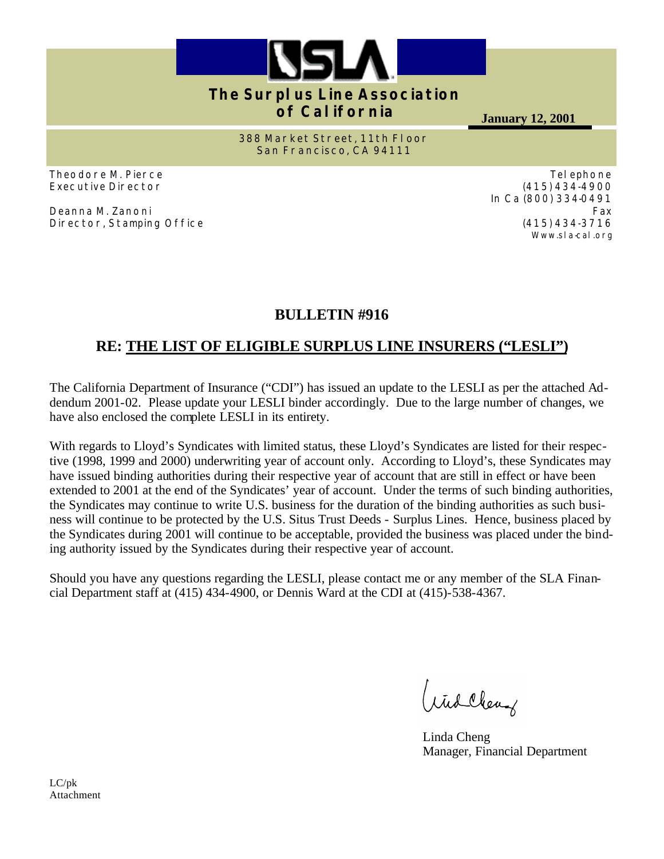

# **The Surplus Line Association of California**

**January 12, 2001**

**388 Market Street, 11th Floor San Francisco, CA 94111**

Theodore M. Pierce Executive Director

Deanna M. Zanoni Director, Stamping Office

Telephone (415) 434-4900 In Ca (800) 334-0491 Fax (415) 434-3716 Www.sla-cal.org

# **BULLETIN #916**

# **RE: THE LIST OF ELIGIBLE SURPLUS LINE INSURERS ("LESLI")**

The California Department of Insurance ("CDI") has issued an update to the LESLI as per the attached Addendum 2001-02. Please update your LESLI binder accordingly. Due to the large number of changes, we have also enclosed the complete LESLI in its entirety.

With regards to Lloyd's Syndicates with limited status, these Lloyd's Syndicates are listed for their respective (1998, 1999 and 2000) underwriting year of account only. According to Lloyd's, these Syndicates may have issued binding authorities during their respective year of account that are still in effect or have been extended to 2001 at the end of the Syndicates' year of account. Under the terms of such binding authorities, the Syndicates may continue to write U.S. business for the duration of the binding authorities as such business will continue to be protected by the U.S. Situs Trust Deeds - Surplus Lines. Hence, business placed by the Syndicates during 2001 will continue to be acceptable, provided the business was placed under the binding authority issued by the Syndicates during their respective year of account.

Should you have any questions regarding the LESLI, please contact me or any member of the SLA Financial Department staff at (415) 434-4900, or Dennis Ward at the CDI at (415)-538-4367.

Widclerg

Linda Cheng Manager, Financial Department

LC/pk Attachment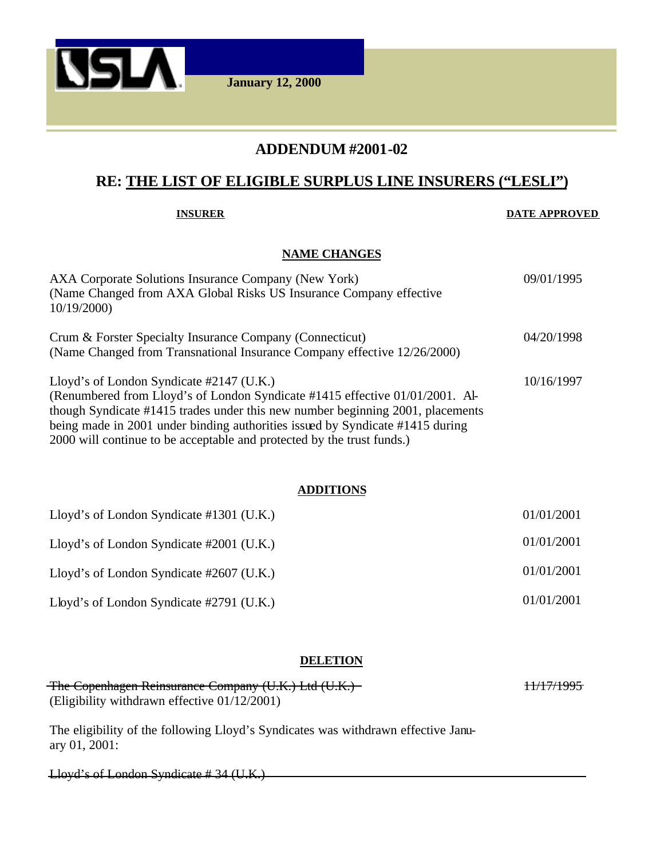

## **ADDENDUM #2001-02**

# **RE: THE LIST OF ELIGIBLE SURPLUS LINE INSURERS ("LESLI")**

#### **INSURER DATE APPROVED**

#### **NAME CHANGES**

| AXA Corporate Solutions Insurance Company (New York)<br>(Name Changed from AXA Global Risks US Insurance Company effective<br>10/19/2000                                                                                                                                                                                                                                 | 09/01/1995 |
|--------------------------------------------------------------------------------------------------------------------------------------------------------------------------------------------------------------------------------------------------------------------------------------------------------------------------------------------------------------------------|------------|
| Crum & Forster Specialty Insurance Company (Connecticut)<br>(Name Changed from Transnational Insurance Company effective 12/26/2000)                                                                                                                                                                                                                                     | 04/20/1998 |
| Lloyd's of London Syndicate $\#2147$ (U.K.)<br>(Renumbered from Lloyd's of London Syndicate #1415 effective 01/01/2001. Al-<br>though Syndicate #1415 trades under this new number beginning 2001, placements<br>being made in 2001 under binding authorities issued by Syndicate #1415 during<br>2000 will continue to be acceptable and protected by the trust funds.) | 10/16/1997 |

#### **ADDITIONS**

| Lloyd's of London Syndicate #1301 (U.K.)    | 01/01/2001 |
|---------------------------------------------|------------|
| Lloyd's of London Syndicate $\#2001$ (U.K.) | 01/01/2001 |
| Lloyd's of London Syndicate $\#2607$ (U.K.) | 01/01/2001 |
| Lloyd's of London Syndicate $\#2791$ (U.K.) | 01/01/2001 |

#### **DELETION**

| The Copenhagen Reinsurance Company (U.K.) Ltd (U.K.) | <del>11/17/1995</del> |
|------------------------------------------------------|-----------------------|
| (Eligibility withdrawn effective $01/12/2001$ )      |                       |

The eligibility of the following Lloyd's Syndicates was withdrawn effective January 01, 2001:

Lloyd's of London Syndicate # 34 (U.K.)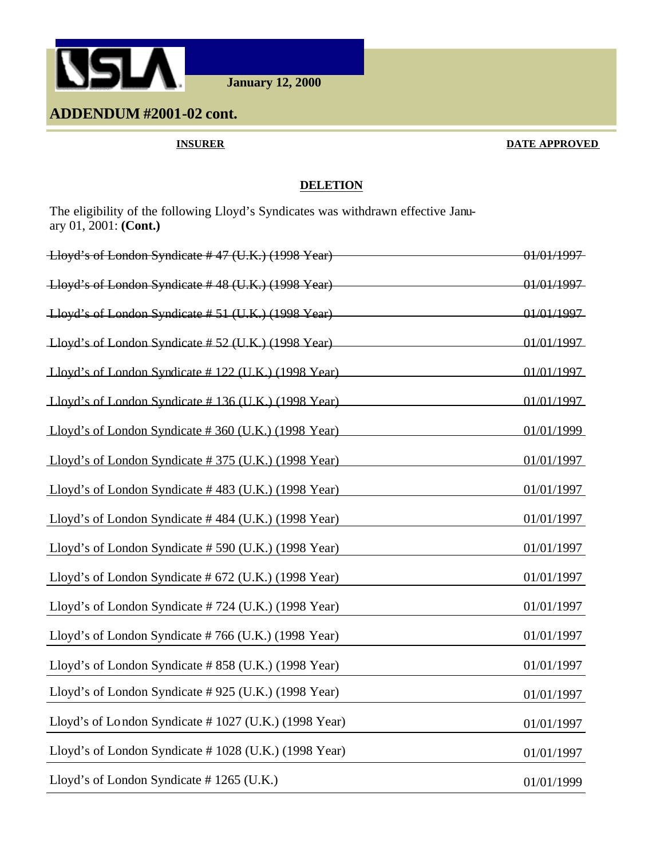

**January 12, 2000**

# **ADDENDUM #2001-02 cont.**

#### **INSURER DATE APPROVED**

### **DELETION**

The eligibility of the following Lloyd's Syndicates was withdrawn effective January 01, 2001: **(Cont.)**

| Lloyd's of London Syndicate #47 (U.K.) (1998 Year)   | <del>01/01/1997</del> |
|------------------------------------------------------|-----------------------|
| Lloyd's of London Syndicate #48 (U.K.) (1998 Year)   | 01/01/1997            |
| Lloyd's of London Syndicate #51 (U.K.) (1998 Year)   | 01/01/1997            |
| Lloyd's of London Syndicate #52 (U.K.) (1998 Year)   | 01/01/1997            |
| Lloyd's of London Syndicate #122 (U.K.) (1998 Year)  | 01/01/1997            |
| Lloyd's of London Syndicate #136 (U.K.) (1998 Year)  | 01/01/1997            |
| Lloyd's of London Syndicate #360 (U.K.) (1998 Year)  | 01/01/1999            |
| Lloyd's of London Syndicate #375 (U.K.) (1998 Year)  | 01/01/1997            |
| Lloyd's of London Syndicate #483 (U.K.) (1998 Year)  | 01/01/1997            |
| Lloyd's of London Syndicate #484 (U.K.) (1998 Year)  | 01/01/1997            |
| Lloyd's of London Syndicate #590 (U.K.) (1998 Year)  | 01/01/1997            |
| Lloyd's of London Syndicate # 672 (U.K.) (1998 Year) | 01/01/1997            |
| Lloyd's of London Syndicate #724 (U.K.) (1998 Year)  | 01/01/1997            |
| Lloyd's of London Syndicate #766 (U.K.) (1998 Year)  | 01/01/1997            |
| Lloyd's of London Syndicate #858 (U.K.) (1998 Year)  | 01/01/1997            |
| Lloyd's of London Syndicate #925 (U.K.) (1998 Year)  | 01/01/1997            |
| Lloyd's of London Syndicate #1027 (U.K.) (1998 Year) | 01/01/1997            |
| Lloyd's of London Syndicate #1028 (U.K.) (1998 Year) | 01/01/1997            |
| Lloyd's of London Syndicate #1265 (U.K.)             | 01/01/1999            |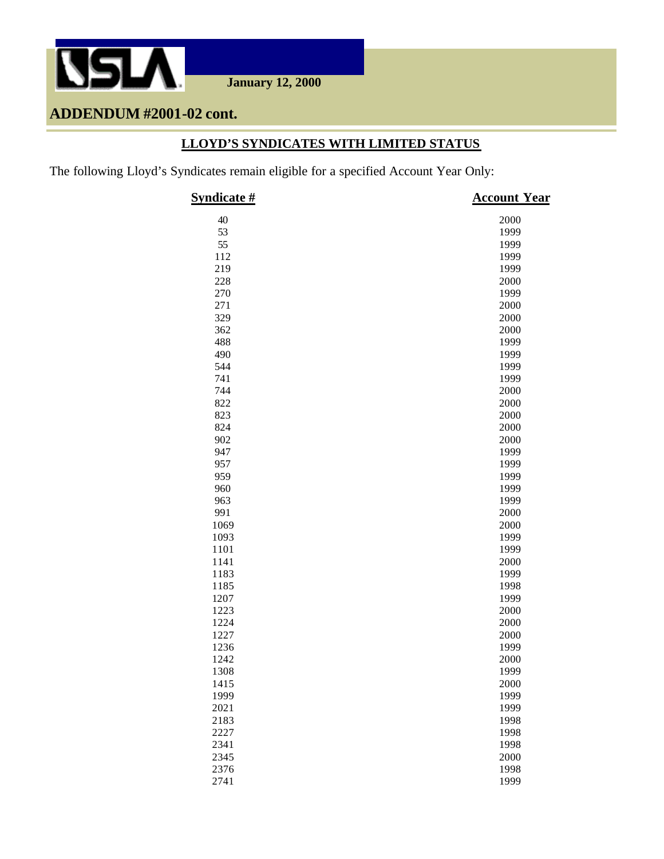

**January 12, 2000**

# **ADDENDUM #2001-02 cont.**

## **LLOYD'S SYNDICATES WITH LIMITED STATUS**

The following Lloyd's Syndicates remain eligible for a specified Account Year Only:

| Syndicate # | <b>Account Year</b> |
|-------------|---------------------|
| 40          | 2000                |
| 53          | 1999                |
| 55          | 1999                |
| 112         | 1999                |
| 219         | 1999                |
| 228         | 2000                |
| 270         | 1999                |
| 271         | 2000                |
| 329         | 2000                |
| 362         | 2000                |
| 488         | 1999                |
| 490         | 1999                |
| 544         | 1999                |
| 741         | 1999                |
| 744         | 2000                |
| 822         | 2000                |
| 823         | 2000                |
| 824         | 2000                |
| 902         | 2000                |
| 947         | 1999                |
| 957         | 1999                |
| 959         | 1999                |
| 960         | 1999                |
| 963         | 1999                |
| 991         | 2000                |
| 1069        | 2000                |
| 1093        | 1999                |
| 1101        | 1999                |
| 1141        | 2000                |
| 1183        | 1999                |
| 1185        | 1998                |
| 1207        | 1999                |
| 1223        | 2000                |
| 1224        | 2000                |
| 1227        | 2000                |
| 1236        | 1999                |
| 1242        | 2000                |
| 1308        | 1999                |
| 1415        | 2000                |
| 1999        | 1999                |
| 2021        | 1999                |
| 2183        | 1998                |
| 2227        | 1998                |
| 2341        | 1998                |
| 2345        | 2000                |
| 2376        | 1998                |
| 2741        | 1999                |